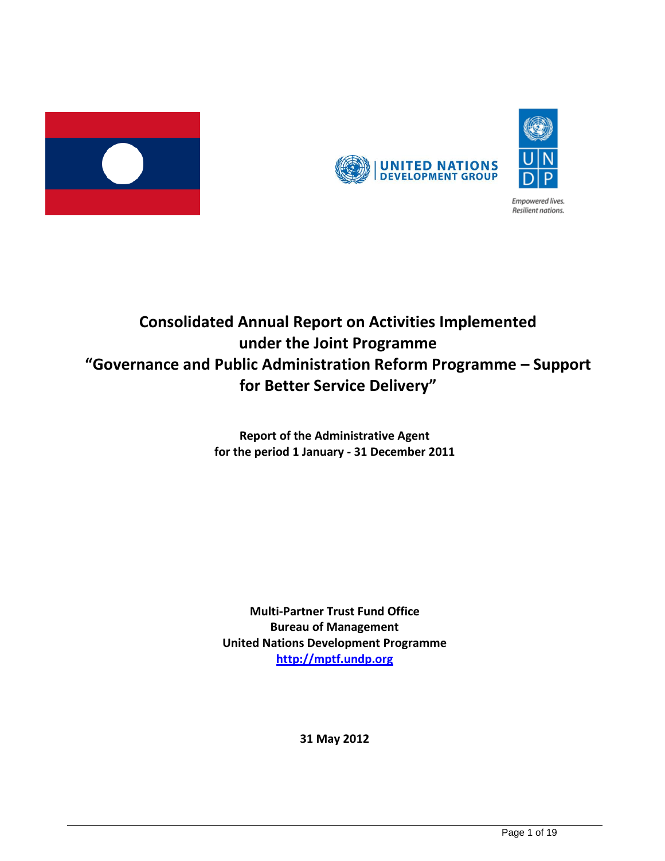



Empowered lives. Resilient nations.



**Report of the Administrative Agent for the period 1 January - 31 December 2011**

**Multi-Partner Trust Fund Office Bureau of Management United Nations Development Programme [http://mptf.undp.org](http://mptf.undp.org/)**

**31 May 2012**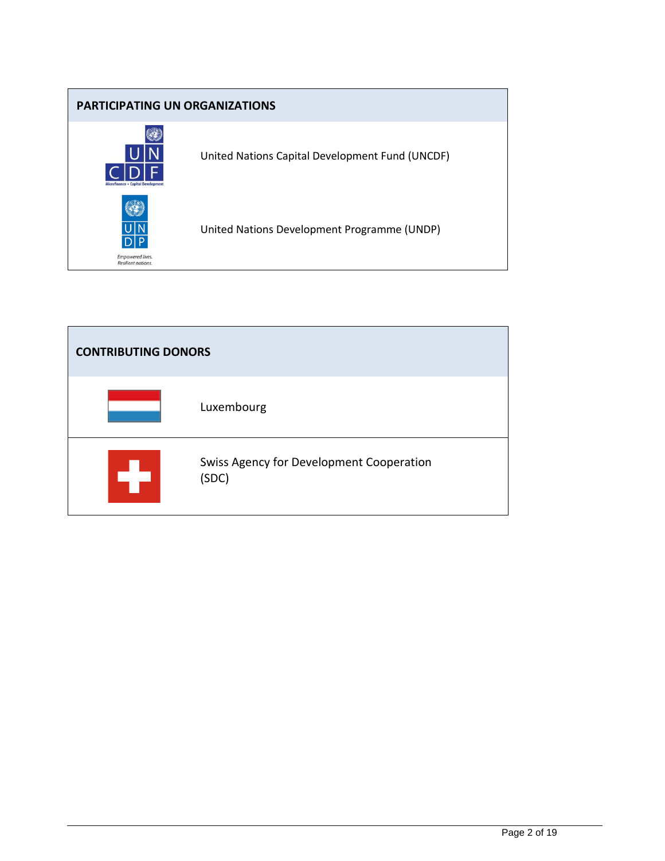

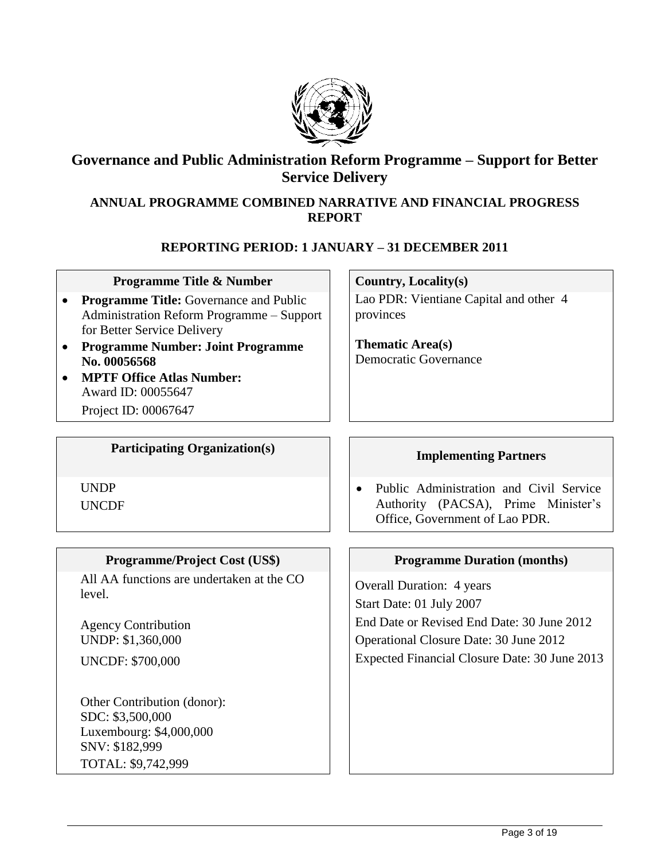

## **Governance and Public Administration Reform Programme – Support for Better Service Delivery**

### **ANNUAL PROGRAMME COMBINED NARRATIVE AND FINANCIAL PROGRESS REPORT**

### **REPORTING PERIOD: 1 JANUARY – 31 DECEMBER 2011**

#### **Programme Title & Number**  $\vert$  **Country, Locality(s)**

- **Programme Title:** Governance and Public Administration Reform Programme – Support for Better Service Delivery
- **Programme Number: Joint Programme No. 00056568**
- **MPTF Office Atlas Number:** Award ID: 00055647

Project ID: 00067647

# Participating Organization(s) **IMPLE 1 Implementing Partners**

UNDP

UNCDF

### **Programme/Project Cost (US\$)** | **Programme Duration (months)**

All AA functions are undertaken at the CO All AA functions are undertaken at the  $\text{CO}$   $\bigcup$  Overall Duration: 4 years

Agency Contribution UNDP: \$1,360,000

UNCDF: \$700,000

Other Contribution (donor): SDC: \$3,500,000 Luxembourg: \$4,000,000 SNV: \$182,999 TOTAL: \$9,742,999

Lao PDR: Vientiane Capital and other 4 provinces

**Thematic Area(s)** Democratic Governance

• Public Administration and Civil Service Authority (PACSA), Prime Minister's Office, Government of Lao PDR.

Start Date: 01 July 2007 End Date or Revised End Date: 30 June 2012 Operational Closure Date: 30 June 2012 Expected Financial Closure Date: 30 June 2013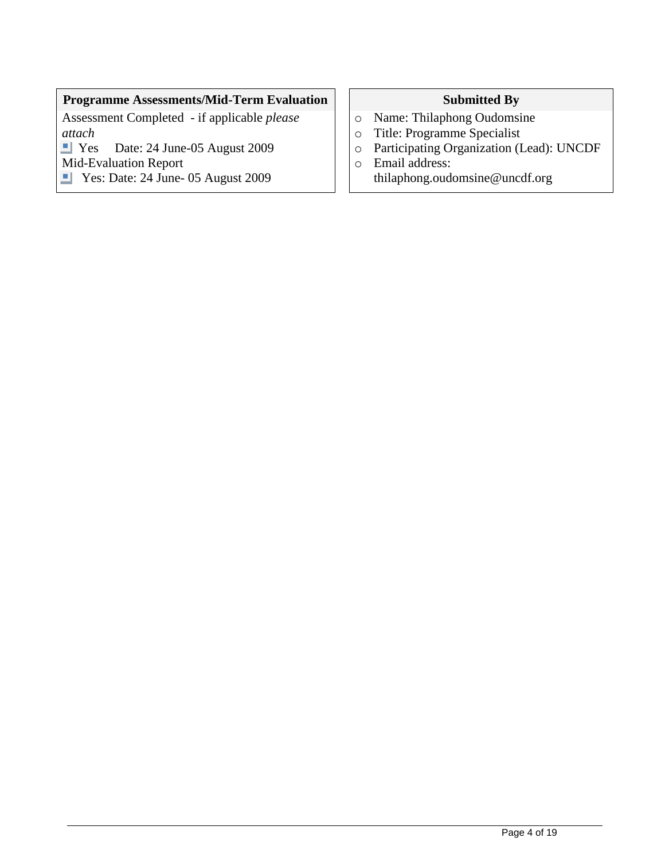## **Programme Assessments/Mid-Term Evaluation Submitted By**

Assessment Completed - if applicable *please attach*

Date: 24 June-05 August 2009

Mid-Evaluation Report

Yes: Date: 24 June- 05 August 2009

- o Name: Thilaphong Oudomsine
- o Title: Programme Specialist
- o Participating Organization (Lead): UNCDF
- o Email address: thilaphong.oudomsine@uncdf.org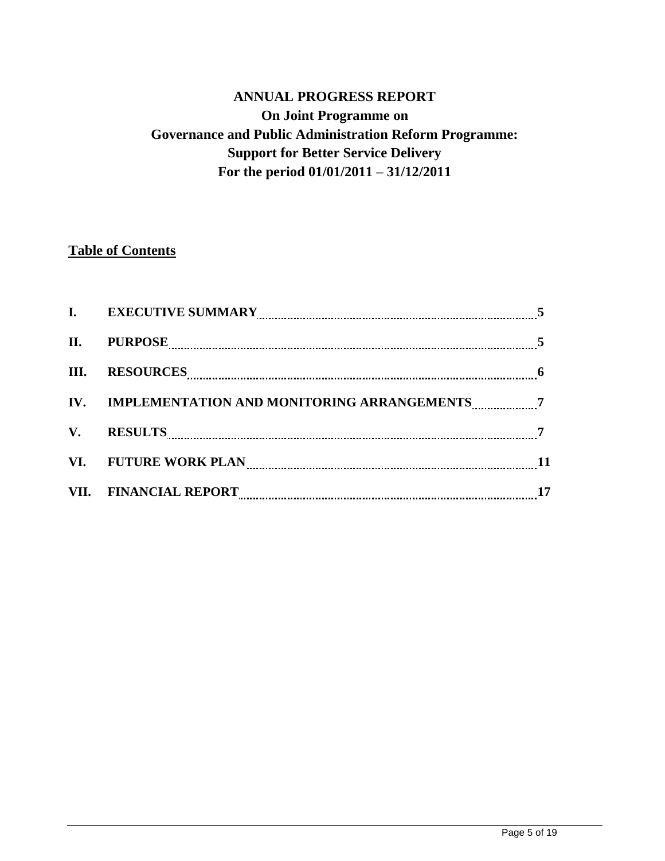## **ANNUAL PROGRESS REPORT On Joint Programme on Governance and Public Administration Reform Programme: Support for Better Service Delivery For the period 01/01/2011 – 31/12/2011**

## **Table of Contents**

| $\mathbf{I}$ .         | <b>EXECUTIVE SUMMARY</b>                         |    |
|------------------------|--------------------------------------------------|----|
| П.                     | <b>PURPOSE</b>                                   |    |
| III.                   | <b>RESOURCES</b>                                 | -6 |
|                        | IV. IMPLEMENTATION AND MONITORING ARRANGEMENTS 7 |    |
| $\mathbf{V}_{\bullet}$ | <b>RESULTS</b>                                   |    |
|                        | VI. FUTURE WORK PLAN                             |    |
|                        | VII. FINANCIAL REPORT                            | 17 |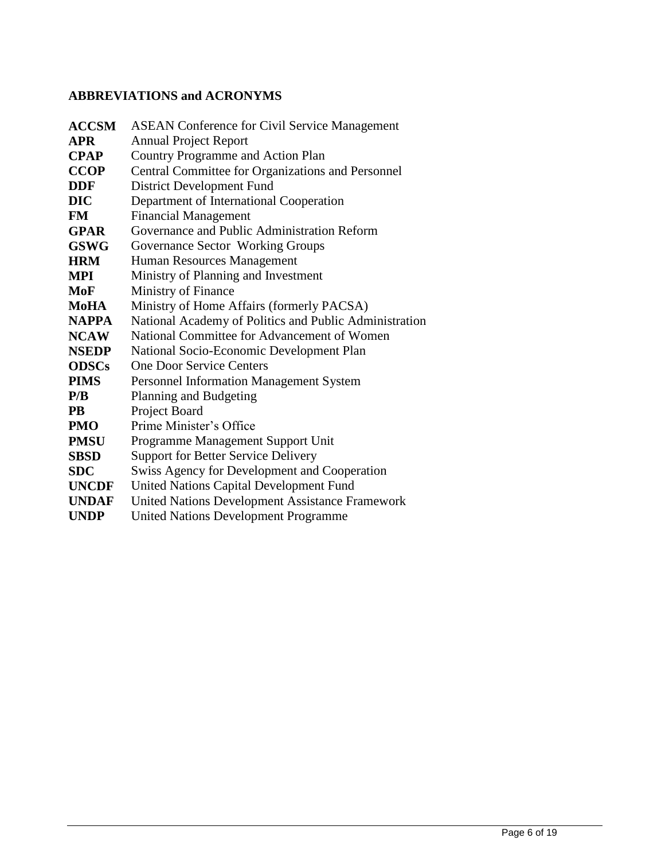## **ABBREVIATIONS and ACRONYMS**

| <b>ACCSM</b> | <b>ASEAN Conference for Civil Service Management</b>   |
|--------------|--------------------------------------------------------|
| <b>APR</b>   | <b>Annual Project Report</b>                           |
| <b>CPAP</b>  | Country Programme and Action Plan                      |
| <b>CCOP</b>  | Central Committee for Organizations and Personnel      |
| <b>DDF</b>   | District Development Fund                              |
| <b>DIC</b>   | Department of International Cooperation                |
| <b>FM</b>    | <b>Financial Management</b>                            |
| <b>GPAR</b>  | Governance and Public Administration Reform            |
| <b>GSWG</b>  | Governance Sector Working Groups                       |
| <b>HRM</b>   | Human Resources Management                             |
| MPI          | Ministry of Planning and Investment                    |
| MoF          | Ministry of Finance                                    |
| MoHA         | Ministry of Home Affairs (formerly PACSA)              |
| <b>NAPPA</b> | National Academy of Politics and Public Administration |
| <b>NCAW</b>  | National Committee for Advancement of Women            |
| <b>NSEDP</b> | National Socio-Economic Development Plan               |
| <b>ODSCs</b> | <b>One Door Service Centers</b>                        |
| <b>PIMS</b>  | <b>Personnel Information Management System</b>         |
| P/B          | Planning and Budgeting                                 |
| <b>PB</b>    | Project Board                                          |
| <b>PMO</b>   | Prime Minister's Office                                |
| <b>PMSU</b>  | Programme Management Support Unit                      |
| <b>SBSD</b>  | <b>Support for Better Service Delivery</b>             |
| <b>SDC</b>   | <b>Swiss Agency for Development and Cooperation</b>    |
| <b>UNCDF</b> | <b>United Nations Capital Development Fund</b>         |
| <b>UNDAF</b> | United Nations Development Assistance Framework        |
| <b>UNDP</b>  | <b>United Nations Development Programme</b>            |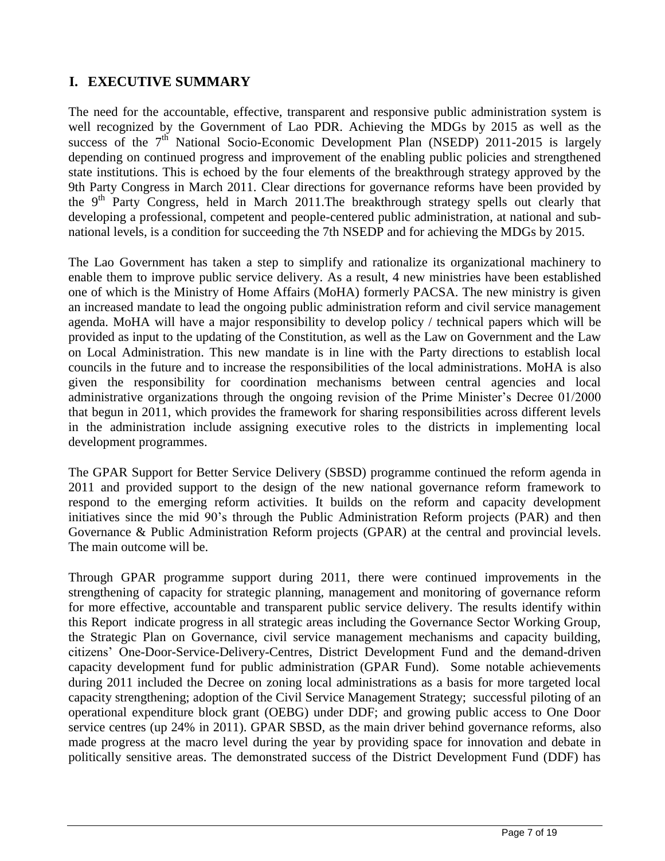## **I. EXECUTIVE SUMMARY**

The need for the accountable, effective, transparent and responsive public administration system is well recognized by the Government of Lao PDR. Achieving the MDGs by 2015 as well as the success of the  $7<sup>th</sup>$  National Socio-Economic Development Plan (NSEDP) 2011-2015 is largely depending on continued progress and improvement of the enabling public policies and strengthened state institutions. This is echoed by the four elements of the breakthrough strategy approved by the 9th Party Congress in March 2011. Clear directions for governance reforms have been provided by the 9<sup>th</sup> Party Congress, held in March 2011. The breakthrough strategy spells out clearly that developing a professional, competent and people-centered public administration, at national and subnational levels, is a condition for succeeding the 7th NSEDP and for achieving the MDGs by 2015.

The Lao Government has taken a step to simplify and rationalize its organizational machinery to enable them to improve public service delivery. As a result, 4 new ministries have been established one of which is the Ministry of Home Affairs (MoHA) formerly PACSA. The new ministry is given an increased mandate to lead the ongoing public administration reform and civil service management agenda. MoHA will have a major responsibility to develop policy / technical papers which will be provided as input to the updating of the Constitution, as well as the Law on Government and the Law on Local Administration. This new mandate is in line with the Party directions to establish local councils in the future and to increase the responsibilities of the local administrations. MoHA is also given the responsibility for coordination mechanisms between central agencies and local administrative organizations through the ongoing revision of the Prime Minister's Decree 01/2000 that begun in 2011, which provides the framework for sharing responsibilities across different levels in the administration include assigning executive roles to the districts in implementing local development programmes.

The GPAR Support for Better Service Delivery (SBSD) programme continued the reform agenda in 2011 and provided support to the design of the new national governance reform framework to respond to the emerging reform activities. It builds on the reform and capacity development initiatives since the mid 90's through the Public Administration Reform projects (PAR) and then Governance & Public Administration Reform projects (GPAR) at the central and provincial levels. The main outcome will be.

Through GPAR programme support during 2011, there were continued improvements in the strengthening of capacity for strategic planning, management and monitoring of governance reform for more effective, accountable and transparent public service delivery. The results identify within this Report indicate progress in all strategic areas including the Governance Sector Working Group, the Strategic Plan on Governance, civil service management mechanisms and capacity building, citizens' One-Door-Service-Delivery-Centres, District Development Fund and the demand-driven capacity development fund for public administration (GPAR Fund). Some notable achievements during 2011 included the Decree on zoning local administrations as a basis for more targeted local capacity strengthening; adoption of the Civil Service Management Strategy; successful piloting of an operational expenditure block grant (OEBG) under DDF; and growing public access to One Door service centres (up 24% in 2011). GPAR SBSD, as the main driver behind governance reforms, also made progress at the macro level during the year by providing space for innovation and debate in politically sensitive areas. The demonstrated success of the District Development Fund (DDF) has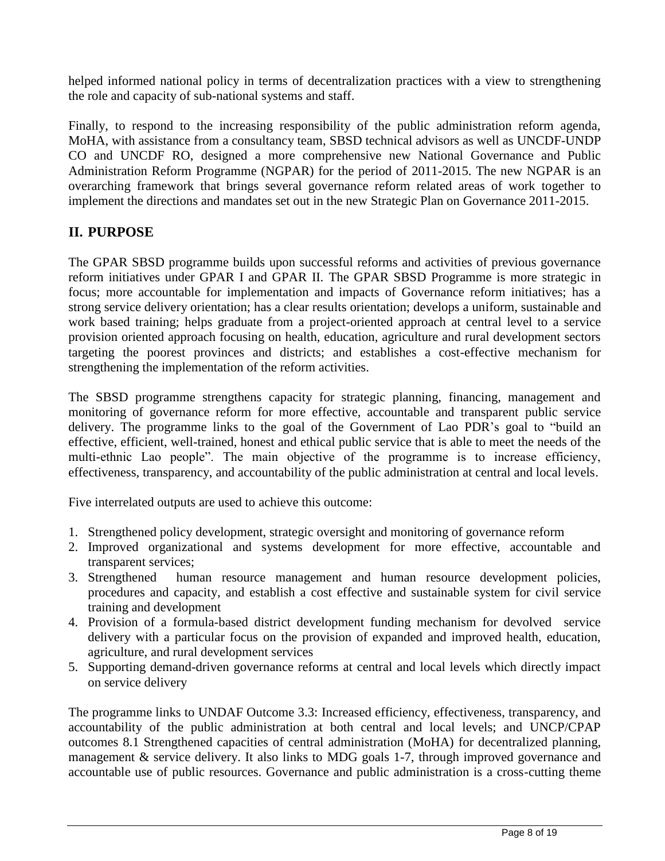helped informed national policy in terms of decentralization practices with a view to strengthening the role and capacity of sub-national systems and staff.

Finally, to respond to the increasing responsibility of the public administration reform agenda, MoHA, with assistance from a consultancy team, SBSD technical advisors as well as UNCDF-UNDP CO and UNCDF RO, designed a more comprehensive new National Governance and Public Administration Reform Programme (NGPAR) for the period of 2011-2015. The new NGPAR is an overarching framework that brings several governance reform related areas of work together to implement the directions and mandates set out in the new Strategic Plan on Governance 2011-2015.

## **II. PURPOSE**

The GPAR SBSD programme builds upon successful reforms and activities of previous governance reform initiatives under GPAR I and GPAR II. The GPAR SBSD Programme is more strategic in focus; more accountable for implementation and impacts of Governance reform initiatives; has a strong service delivery orientation; has a clear results orientation; develops a uniform, sustainable and work based training; helps graduate from a project-oriented approach at central level to a service provision oriented approach focusing on health, education, agriculture and rural development sectors targeting the poorest provinces and districts; and establishes a cost-effective mechanism for strengthening the implementation of the reform activities.

The SBSD programme strengthens capacity for strategic planning, financing, management and monitoring of governance reform for more effective, accountable and transparent public service delivery. The programme links to the goal of the Government of Lao PDR's goal to "build an effective, efficient, well-trained, honest and ethical public service that is able to meet the needs of the multi-ethnic Lao people". The main objective of the programme is to increase efficiency, effectiveness, transparency, and accountability of the public administration at central and local levels.

Five interrelated outputs are used to achieve this outcome:

- 1. Strengthened policy development, strategic oversight and monitoring of governance reform
- 2. Improved organizational and systems development for more effective, accountable and transparent services;
- 3. Strengthened human resource management and human resource development policies, procedures and capacity, and establish a cost effective and sustainable system for civil service training and development
- 4. Provision of a formula-based district development funding mechanism for devolved service delivery with a particular focus on the provision of expanded and improved health, education, agriculture, and rural development services
- 5. Supporting demand-driven governance reforms at central and local levels which directly impact on service delivery

The programme links to UNDAF Outcome 3.3: Increased efficiency, effectiveness, transparency, and accountability of the public administration at both central and local levels; and UNCP/CPAP outcomes 8.1 Strengthened capacities of central administration (MoHA) for decentralized planning, management & service delivery. It also links to MDG goals 1-7, through improved governance and accountable use of public resources. Governance and public administration is a cross-cutting theme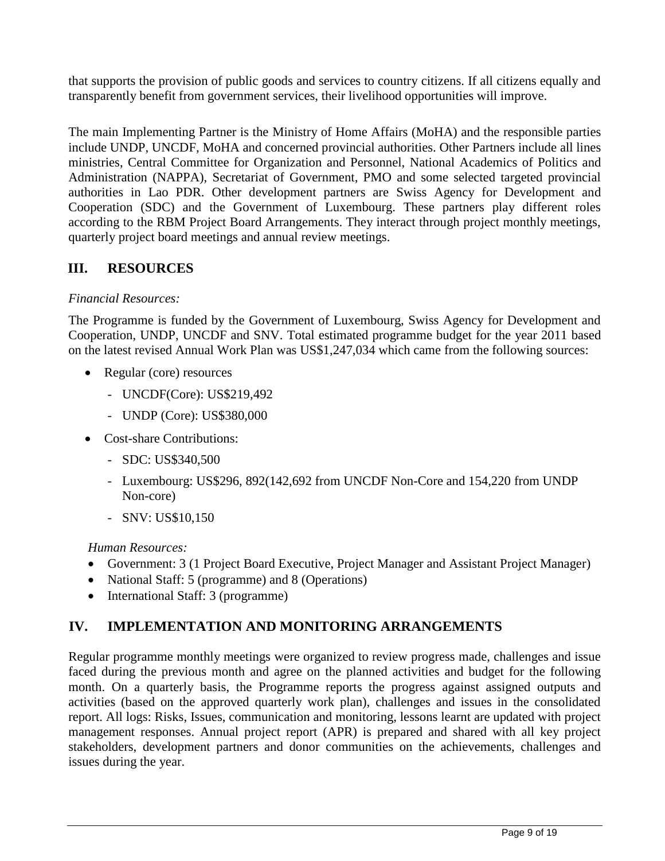that supports the provision of public goods and services to country citizens. If all citizens equally and transparently benefit from government services, their livelihood opportunities will improve.

The main Implementing Partner is the Ministry of Home Affairs (MoHA) and the responsible parties include UNDP, UNCDF, MoHA and concerned provincial authorities. Other Partners include all lines ministries, Central Committee for Organization and Personnel, National Academics of Politics and Administration (NAPPA), Secretariat of Government, PMO and some selected targeted provincial authorities in Lao PDR. Other development partners are Swiss Agency for Development and Cooperation (SDC) and the Government of Luxembourg. These partners play different roles according to the RBM Project Board Arrangements. They interact through project monthly meetings, quarterly project board meetings and annual review meetings.

## **III. RESOURCES**

### *Financial Resources:*

The Programme is funded by the Government of Luxembourg, Swiss Agency for Development and Cooperation, UNDP, UNCDF and SNV. Total estimated programme budget for the year 2011 based on the latest revised Annual Work Plan was US\$1,247,034 which came from the following sources:

- Regular (core) resources
	- UNCDF(Core): US\$219,492
	- UNDP (Core): US\$380,000
- Cost-share Contributions:
	- SDC: US\$340,500
	- Luxembourg: US\$296, 892(142,692 from UNCDF Non-Core and 154,220 from UNDP Non-core)
	- SNV: US\$10,150

#### *Human Resources:*

- Government: 3 (1 Project Board Executive, Project Manager and Assistant Project Manager)
- National Staff: 5 (programme) and 8 (Operations)
- International Staff: 3 (programme)

## **IV. IMPLEMENTATION AND MONITORING ARRANGEMENTS**

Regular programme monthly meetings were organized to review progress made, challenges and issue faced during the previous month and agree on the planned activities and budget for the following month. On a quarterly basis, the Programme reports the progress against assigned outputs and activities (based on the approved quarterly work plan), challenges and issues in the consolidated report. All logs: Risks, Issues, communication and monitoring, lessons learnt are updated with project management responses. Annual project report (APR) is prepared and shared with all key project stakeholders, development partners and donor communities on the achievements, challenges and issues during the year.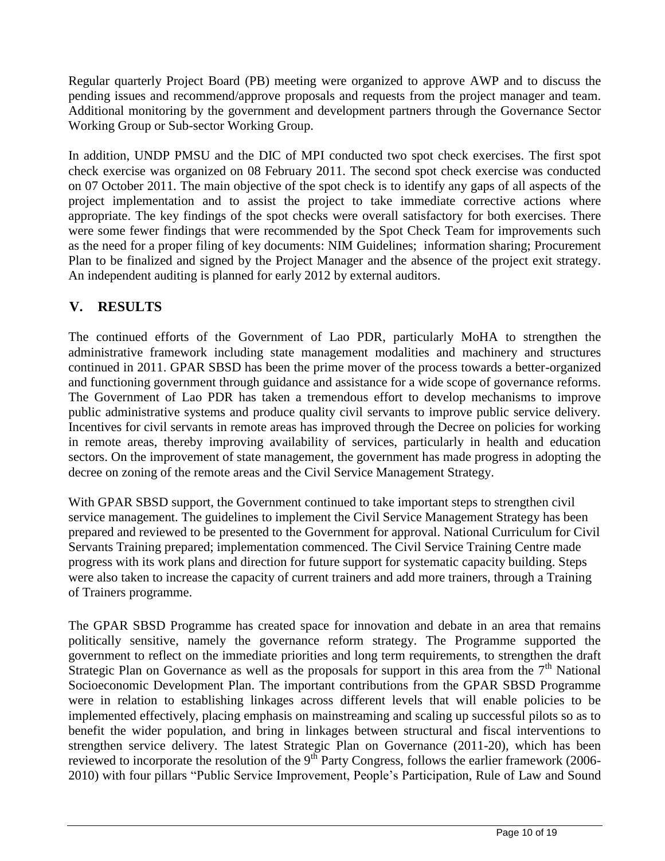Regular quarterly Project Board (PB) meeting were organized to approve AWP and to discuss the pending issues and recommend/approve proposals and requests from the project manager and team. Additional monitoring by the government and development partners through the Governance Sector Working Group or Sub-sector Working Group.

In addition, UNDP PMSU and the DIC of MPI conducted two spot check exercises. The first spot check exercise was organized on 08 February 2011. The second spot check exercise was conducted on 07 October 2011. The main objective of the spot check is to identify any gaps of all aspects of the project implementation and to assist the project to take immediate corrective actions where appropriate. The key findings of the spot checks were overall satisfactory for both exercises. There were some fewer findings that were recommended by the Spot Check Team for improvements such as the need for a proper filing of key documents: NIM Guidelines; information sharing; Procurement Plan to be finalized and signed by the Project Manager and the absence of the project exit strategy. An independent auditing is planned for early 2012 by external auditors.

## **V. RESULTS**

The continued efforts of the Government of Lao PDR, particularly MoHA to strengthen the administrative framework including state management modalities and machinery and structures continued in 2011. GPAR SBSD has been the prime mover of the process towards a better-organized and functioning government through guidance and assistance for a wide scope of governance reforms. The Government of Lao PDR has taken a tremendous effort to develop mechanisms to improve public administrative systems and produce quality civil servants to improve public service delivery. Incentives for civil servants in remote areas has improved through the Decree on policies for working in remote areas, thereby improving availability of services, particularly in health and education sectors. On the improvement of state management, the government has made progress in adopting the decree on zoning of the remote areas and the Civil Service Management Strategy.

With GPAR SBSD support, the Government continued to take important steps to strengthen civil service management. The guidelines to implement the Civil Service Management Strategy has been prepared and reviewed to be presented to the Government for approval. National Curriculum for Civil Servants Training prepared; implementation commenced. The Civil Service Training Centre made progress with its work plans and direction for future support for systematic capacity building. Steps were also taken to increase the capacity of current trainers and add more trainers, through a Training of Trainers programme.

The GPAR SBSD Programme has created space for innovation and debate in an area that remains politically sensitive, namely the governance reform strategy. The Programme supported the government to reflect on the immediate priorities and long term requirements, to strengthen the draft Strategic Plan on Governance as well as the proposals for support in this area from the  $7<sup>th</sup>$  National Socioeconomic Development Plan. The important contributions from the GPAR SBSD Programme were in relation to establishing linkages across different levels that will enable policies to be implemented effectively, placing emphasis on mainstreaming and scaling up successful pilots so as to benefit the wider population, and bring in linkages between structural and fiscal interventions to strengthen service delivery. The latest Strategic Plan on Governance (2011-20), which has been reviewed to incorporate the resolution of the 9<sup>th</sup> Party Congress, follows the earlier framework (2006-2010) with four pillars "Public Service Improvement, People's Participation, Rule of Law and Sound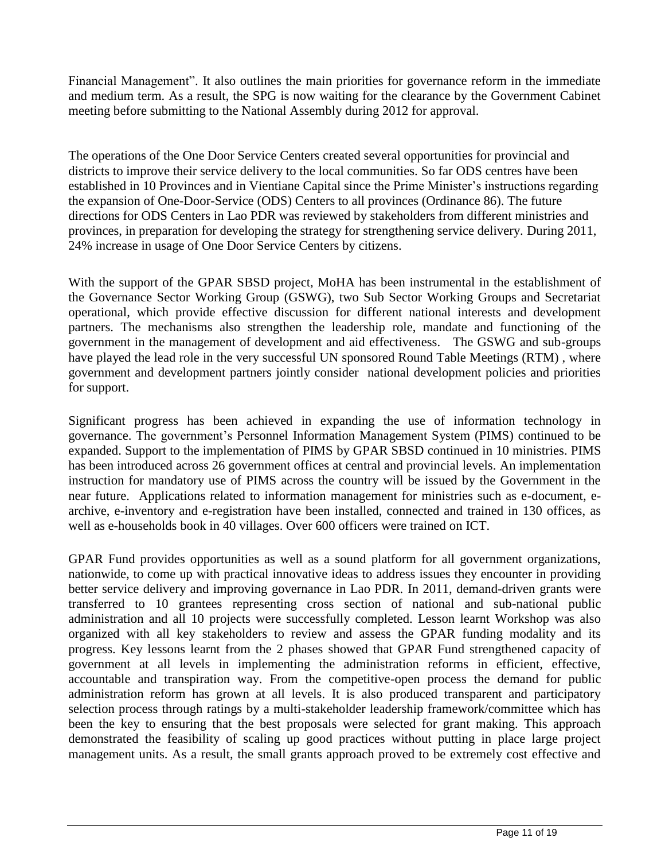Financial Management". It also outlines the main priorities for governance reform in the immediate and medium term. As a result, the SPG is now waiting for the clearance by the Government Cabinet meeting before submitting to the National Assembly during 2012 for approval.

The operations of the One Door Service Centers created several opportunities for provincial and districts to improve their service delivery to the local communities. So far ODS centres have been established in 10 Provinces and in Vientiane Capital since the Prime Minister's instructions regarding the expansion of One-Door-Service (ODS) Centers to all provinces (Ordinance 86). The future directions for ODS Centers in Lao PDR was reviewed by stakeholders from different ministries and provinces, in preparation for developing the strategy for strengthening service delivery. During 2011, 24% increase in usage of One Door Service Centers by citizens.

With the support of the GPAR SBSD project, MoHA has been instrumental in the establishment of the Governance Sector Working Group (GSWG), two Sub Sector Working Groups and Secretariat operational, which provide effective discussion for different national interests and development partners. The mechanisms also strengthen the leadership role, mandate and functioning of the government in the management of development and aid effectiveness. The GSWG and sub-groups have played the lead role in the very successful UN sponsored Round Table Meetings (RTM) , where government and development partners jointly consider national development policies and priorities for support.

Significant progress has been achieved in expanding the use of information technology in governance. The government's Personnel Information Management System (PIMS) continued to be expanded. Support to the implementation of PIMS by GPAR SBSD continued in 10 ministries. PIMS has been introduced across 26 government offices at central and provincial levels. An implementation instruction for mandatory use of PIMS across the country will be issued by the Government in the near future. Applications related to information management for ministries such as e-document, earchive, e-inventory and e-registration have been installed, connected and trained in 130 offices, as well as e-households book in 40 villages. Over 600 officers were trained on ICT.

GPAR Fund provides opportunities as well as a sound platform for all government organizations, nationwide, to come up with practical innovative ideas to address issues they encounter in providing better service delivery and improving governance in Lao PDR. In 2011, demand-driven grants were transferred to 10 grantees representing cross section of national and sub-national public administration and all 10 projects were successfully completed. Lesson learnt Workshop was also organized with all key stakeholders to review and assess the GPAR funding modality and its progress. Key lessons learnt from the 2 phases showed that GPAR Fund strengthened capacity of government at all levels in implementing the administration reforms in efficient, effective, accountable and transpiration way. From the competitive-open process the demand for public administration reform has grown at all levels. It is also produced transparent and participatory selection process through ratings by a multi-stakeholder leadership framework/committee which has been the key to ensuring that the best proposals were selected for grant making. This approach demonstrated the feasibility of scaling up good practices without putting in place large project management units. As a result, the small grants approach proved to be extremely cost effective and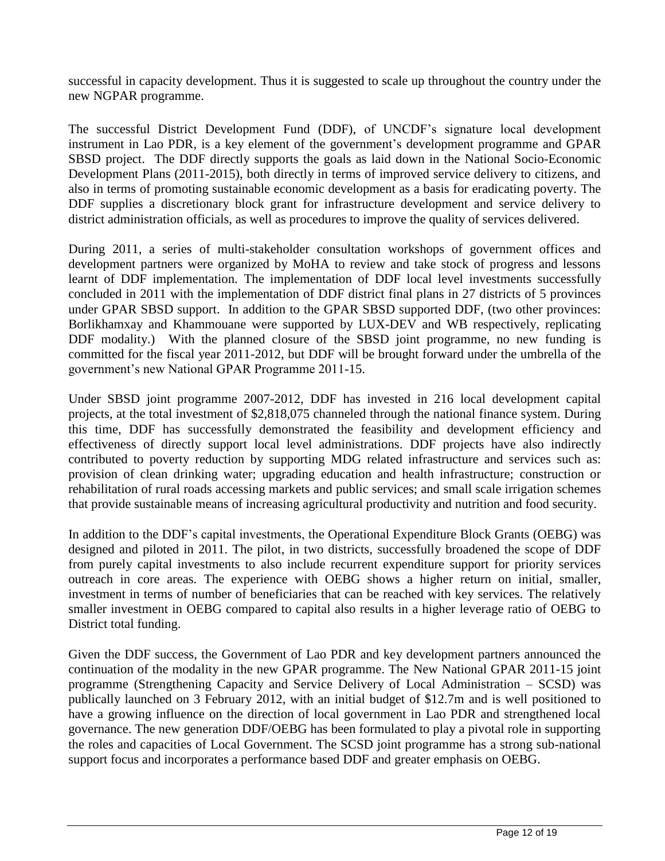successful in capacity development. Thus it is suggested to scale up throughout the country under the new NGPAR programme.

The successful District Development Fund (DDF), of UNCDF's signature local development instrument in Lao PDR, is a key element of the government's development programme and GPAR SBSD project. The DDF directly supports the goals as laid down in the National Socio-Economic Development Plans (2011-2015), both directly in terms of improved service delivery to citizens, and also in terms of promoting sustainable economic development as a basis for eradicating poverty. The DDF supplies a discretionary block grant for infrastructure development and service delivery to district administration officials, as well as procedures to improve the quality of services delivered.

During 2011, a series of multi-stakeholder consultation workshops of government offices and development partners were organized by MoHA to review and take stock of progress and lessons learnt of DDF implementation. The implementation of DDF local level investments successfully concluded in 2011 with the implementation of DDF district final plans in 27 districts of 5 provinces under GPAR SBSD support. In addition to the GPAR SBSD supported DDF, (two other provinces: Borlikhamxay and Khammouane were supported by LUX-DEV and WB respectively, replicating DDF modality.) With the planned closure of the SBSD joint programme, no new funding is committed for the fiscal year 2011-2012, but DDF will be brought forward under the umbrella of the government's new National GPAR Programme 2011-15.

Under SBSD joint programme 2007-2012, DDF has invested in 216 local development capital projects, at the total investment of \$2,818,075 channeled through the national finance system. During this time, DDF has successfully demonstrated the feasibility and development efficiency and effectiveness of directly support local level administrations. DDF projects have also indirectly contributed to poverty reduction by supporting MDG related infrastructure and services such as: provision of clean drinking water; upgrading education and health infrastructure; construction or rehabilitation of rural roads accessing markets and public services; and small scale irrigation schemes that provide sustainable means of increasing agricultural productivity and nutrition and food security.

In addition to the DDF's capital investments, the Operational Expenditure Block Grants (OEBG) was designed and piloted in 2011. The pilot, in two districts, successfully broadened the scope of DDF from purely capital investments to also include recurrent expenditure support for priority services outreach in core areas. The experience with OEBG shows a higher return on initial, smaller, investment in terms of number of beneficiaries that can be reached with key services. The relatively smaller investment in OEBG compared to capital also results in a higher leverage ratio of OEBG to District total funding.

Given the DDF success, the Government of Lao PDR and key development partners announced the continuation of the modality in the new GPAR programme. The New National GPAR 2011-15 joint programme (Strengthening Capacity and Service Delivery of Local Administration – SCSD) was publically launched on 3 February 2012, with an initial budget of \$12.7m and is well positioned to have a growing influence on the direction of local government in Lao PDR and strengthened local governance. The new generation DDF/OEBG has been formulated to play a pivotal role in supporting the roles and capacities of Local Government. The SCSD joint programme has a strong sub-national support focus and incorporates a performance based DDF and greater emphasis on OEBG.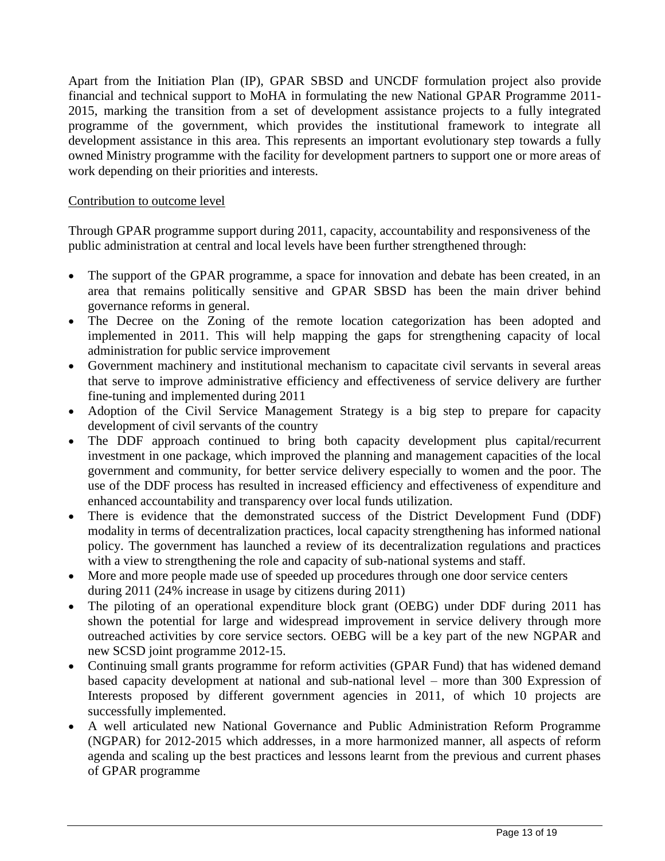Apart from the Initiation Plan (IP), GPAR SBSD and UNCDF formulation project also provide financial and technical support to MoHA in formulating the new National GPAR Programme 2011- 2015, marking the transition from a set of development assistance projects to a fully integrated programme of the government, which provides the institutional framework to integrate all development assistance in this area. This represents an important evolutionary step towards a fully owned Ministry programme with the facility for development partners to support one or more areas of work depending on their priorities and interests.

#### Contribution to outcome level

Through GPAR programme support during 2011, capacity, accountability and responsiveness of the public administration at central and local levels have been further strengthened through:

- The support of the GPAR programme, a space for innovation and debate has been created, in an area that remains politically sensitive and GPAR SBSD has been the main driver behind governance reforms in general.
- The Decree on the Zoning of the remote location categorization has been adopted and implemented in 2011. This will help mapping the gaps for strengthening capacity of local administration for public service improvement
- Government machinery and institutional mechanism to capacitate civil servants in several areas that serve to improve administrative efficiency and effectiveness of service delivery are further fine-tuning and implemented during 2011
- Adoption of the Civil Service Management Strategy is a big step to prepare for capacity development of civil servants of the country
- The DDF approach continued to bring both capacity development plus capital/recurrent investment in one package, which improved the planning and management capacities of the local government and community, for better service delivery especially to women and the poor. The use of the DDF process has resulted in increased efficiency and effectiveness of expenditure and enhanced accountability and transparency over local funds utilization.
- There is evidence that the demonstrated success of the District Development Fund (DDF) modality in terms of decentralization practices, local capacity strengthening has informed national policy. The government has launched a review of its decentralization regulations and practices with a view to strengthening the role and capacity of sub-national systems and staff.
- More and more people made use of speeded up procedures through one door service centers during 2011 (24% increase in usage by citizens during 2011)
- The piloting of an operational expenditure block grant (OEBG) under DDF during 2011 has shown the potential for large and widespread improvement in service delivery through more outreached activities by core service sectors. OEBG will be a key part of the new NGPAR and new SCSD joint programme 2012-15.
- Continuing small grants programme for reform activities (GPAR Fund) that has widened demand based capacity development at national and sub-national level – more than 300 Expression of Interests proposed by different government agencies in 2011, of which 10 projects are successfully implemented.
- A well articulated new National Governance and Public Administration Reform Programme (NGPAR) for 2012-2015 which addresses, in a more harmonized manner, all aspects of reform agenda and scaling up the best practices and lessons learnt from the previous and current phases of GPAR programme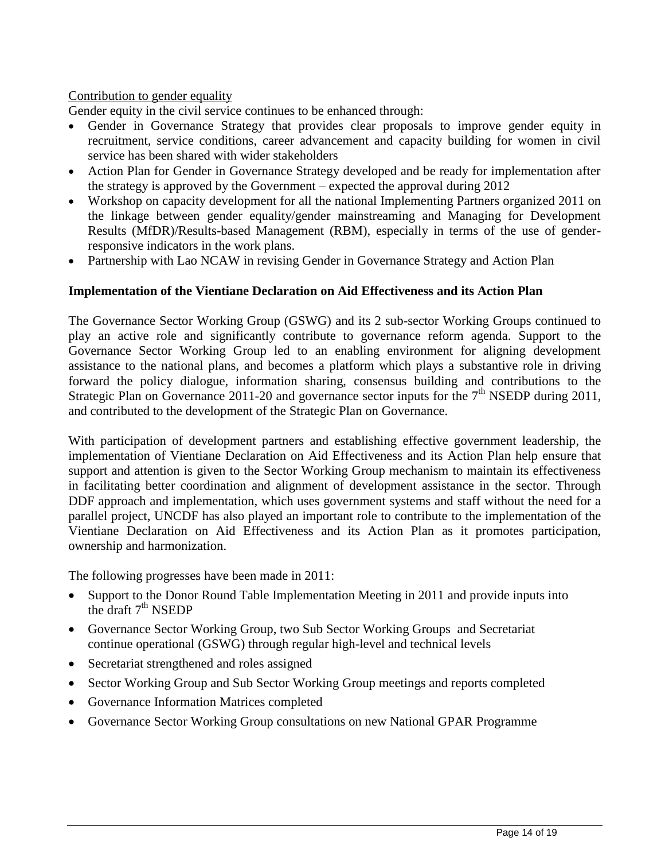#### Contribution to gender equality

Gender equity in the civil service continues to be enhanced through:

- Gender in Governance Strategy that provides clear proposals to improve gender equity in recruitment, service conditions, career advancement and capacity building for women in civil service has been shared with wider stakeholders
- Action Plan for Gender in Governance Strategy developed and be ready for implementation after the strategy is approved by the Government – expected the approval during 2012
- Workshop on capacity development for all the national Implementing Partners organized 2011 on the linkage between gender equality/gender mainstreaming and Managing for Development Results (MfDR)/Results-based Management (RBM), especially in terms of the use of genderresponsive indicators in the work plans.
- Partnership with Lao NCAW in revising Gender in Governance Strategy and Action Plan

#### **Implementation of the Vientiane Declaration on Aid Effectiveness and its Action Plan**

The Governance Sector Working Group (GSWG) and its 2 sub-sector Working Groups continued to play an active role and significantly contribute to governance reform agenda. Support to the Governance Sector Working Group led to an enabling environment for aligning development assistance to the national plans, and becomes a platform which plays a substantive role in driving forward the policy dialogue, information sharing, consensus building and contributions to the Strategic Plan on Governance 2011-20 and governance sector inputs for the  $7<sup>th</sup>$  NSEDP during 2011, and contributed to the development of the Strategic Plan on Governance.

With participation of development partners and establishing effective government leadership, the implementation of Vientiane Declaration on Aid Effectiveness and its Action Plan help ensure that support and attention is given to the Sector Working Group mechanism to maintain its effectiveness in facilitating better coordination and alignment of development assistance in the sector. Through DDF approach and implementation, which uses government systems and staff without the need for a parallel project, UNCDF has also played an important role to contribute to the implementation of the Vientiane Declaration on Aid Effectiveness and its Action Plan as it promotes participation, ownership and harmonization.

The following progresses have been made in 2011:

- Support to the Donor Round Table Implementation Meeting in 2011 and provide inputs into the draft  $7<sup>th</sup>$  NSEDP
- Governance Sector Working Group, two Sub Sector Working Groups and Secretariat continue operational (GSWG) through regular high-level and technical levels
- Secretariat strengthened and roles assigned
- Sector Working Group and Sub Sector Working Group meetings and reports completed
- Governance Information Matrices completed
- Governance Sector Working Group consultations on new National GPAR Programme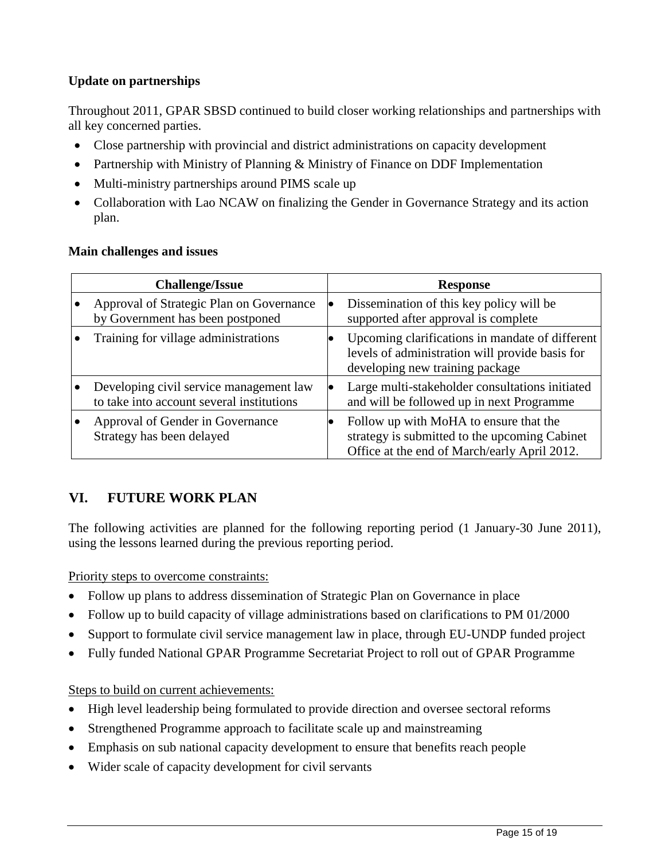### **Update on partnerships**

Throughout 2011, GPAR SBSD continued to build closer working relationships and partnerships with all key concerned parties.

- Close partnership with provincial and district administrations on capacity development
- Partnership with Ministry of Planning & Ministry of Finance on DDF Implementation
- Multi-ministry partnerships around PIMS scale up
- Collaboration with Lao NCAW on finalizing the Gender in Governance Strategy and its action plan.

### **Main challenges and issues**

| <b>Challenge/Issue</b>                                                               | <b>Response</b> |                                                                                                                                         |  |  |
|--------------------------------------------------------------------------------------|-----------------|-----------------------------------------------------------------------------------------------------------------------------------------|--|--|
| Approval of Strategic Plan on Governance<br>by Government has been postponed         |                 | Dissemination of this key policy will be<br>supported after approval is complete                                                        |  |  |
| Training for village administrations                                                 |                 | Upcoming clarifications in mandate of different<br>levels of administration will provide basis for<br>developing new training package   |  |  |
| Developing civil service management law<br>to take into account several institutions |                 | Large multi-stakeholder consultations initiated<br>and will be followed up in next Programme                                            |  |  |
| Approval of Gender in Governance<br>Strategy has been delayed                        |                 | Follow up with MoHA to ensure that the<br>strategy is submitted to the upcoming Cabinet<br>Office at the end of March/early April 2012. |  |  |

## **VI. FUTURE WORK PLAN**

The following activities are planned for the following reporting period (1 January-30 June 2011), using the lessons learned during the previous reporting period.

Priority steps to overcome constraints:

- Follow up plans to address dissemination of Strategic Plan on Governance in place
- Follow up to build capacity of village administrations based on clarifications to PM 01/2000
- Support to formulate civil service management law in place, through EU-UNDP funded project
- Fully funded National GPAR Programme Secretariat Project to roll out of GPAR Programme

#### Steps to build on current achievements:

- High level leadership being formulated to provide direction and oversee sectoral reforms
- Strengthened Programme approach to facilitate scale up and mainstreaming
- Emphasis on sub national capacity development to ensure that benefits reach people
- Wider scale of capacity development for civil servants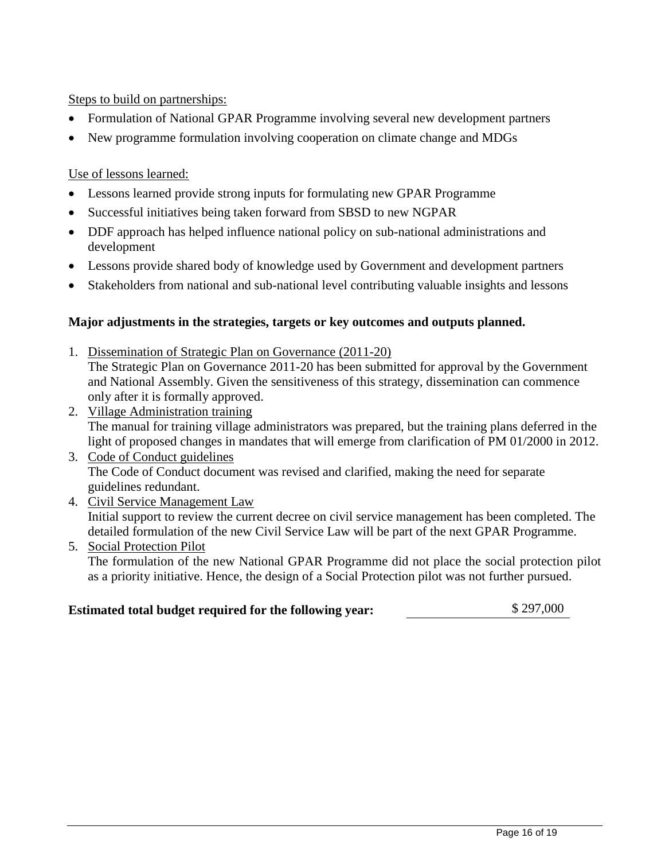Steps to build on partnerships:

- Formulation of National GPAR Programme involving several new development partners
- New programme formulation involving cooperation on climate change and MDGs

Use of lessons learned:

- Lessons learned provide strong inputs for formulating new GPAR Programme
- Successful initiatives being taken forward from SBSD to new NGPAR
- DDF approach has helped influence national policy on sub-national administrations and development
- Lessons provide shared body of knowledge used by Government and development partners
- Stakeholders from national and sub-national level contributing valuable insights and lessons

#### **Major adjustments in the strategies, targets or key outcomes and outputs planned.**

- 1. Dissemination of Strategic Plan on Governance (2011-20) The Strategic Plan on Governance 2011-20 has been submitted for approval by the Government and National Assembly. Given the sensitiveness of this strategy, dissemination can commence only after it is formally approved.
- 2. Village Administration training The manual for training village administrators was prepared, but the training plans deferred in the light of proposed changes in mandates that will emerge from clarification of PM 01/2000 in 2012.
- 3. Code of Conduct guidelines The Code of Conduct document was revised and clarified, making the need for separate guidelines redundant.
- 4. Civil Service Management Law Initial support to review the current decree on civil service management has been completed. The detailed formulation of the new Civil Service Law will be part of the next GPAR Programme.
- 5. Social Protection Pilot The formulation of the new National GPAR Programme did not place the social protection pilot as a priority initiative. Hence, the design of a Social Protection pilot was not further pursued.

## **Estimated total budget required for the following year:** \$ 297,000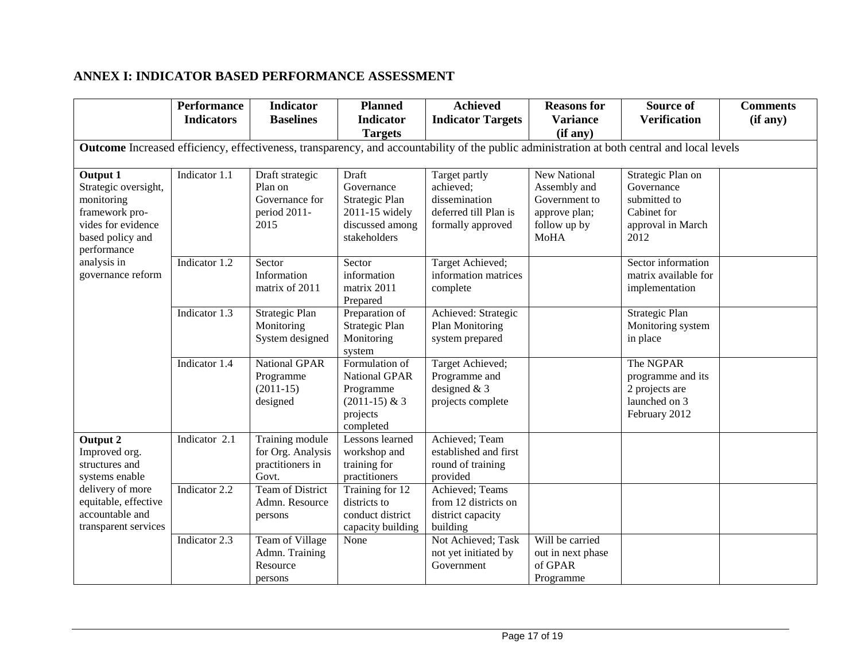### **ANNEX I: INDICATOR BASED PERFORMANCE ASSESSMENT**

|                                                                                                                                             | <b>Performance</b><br><b>Indicators</b> | <b>Indicator</b><br><b>Baselines</b>                                 | <b>Planned</b><br><b>Indicator</b>                                                         | <b>Achieved</b><br><b>Indicator Targets</b>                                               | <b>Reasons for</b><br><b>Variance</b>                                                                | Source of<br><b>Verification</b>                                                            | <b>Comments</b><br>(if any) |  |  |
|---------------------------------------------------------------------------------------------------------------------------------------------|-----------------------------------------|----------------------------------------------------------------------|--------------------------------------------------------------------------------------------|-------------------------------------------------------------------------------------------|------------------------------------------------------------------------------------------------------|---------------------------------------------------------------------------------------------|-----------------------------|--|--|
|                                                                                                                                             |                                         |                                                                      | <b>Targets</b>                                                                             |                                                                                           | (if any)                                                                                             |                                                                                             |                             |  |  |
| Outcome Increased efficiency, effectiveness, transparency, and accountability of the public administration at both central and local levels |                                         |                                                                      |                                                                                            |                                                                                           |                                                                                                      |                                                                                             |                             |  |  |
| <b>Output 1</b><br>Strategic oversight,<br>monitoring<br>framework pro-<br>vides for evidence<br>based policy and<br>performance            | Indicator 1.1                           | Draft strategic<br>Plan on<br>Governance for<br>period 2011-<br>2015 | Draft<br>Governance<br>Strategic Plan<br>2011-15 widely<br>discussed among<br>stakeholders | Target partly<br>achieved;<br>dissemination<br>deferred till Plan is<br>formally approved | <b>New National</b><br>Assembly and<br>Government to<br>approve plan;<br>follow up by<br><b>MoHA</b> | Strategic Plan on<br>Governance<br>submitted to<br>Cabinet for<br>approval in March<br>2012 |                             |  |  |
| analysis in<br>governance reform                                                                                                            | Indicator 1.2                           | Sector<br>Information<br>matrix of 2011                              | Sector<br>information<br>matrix 2011<br>Prepared                                           | Target Achieved;<br>information matrices<br>complete                                      |                                                                                                      | Sector information<br>matrix available for<br>implementation                                |                             |  |  |
|                                                                                                                                             | Indicator 1.3                           | <b>Strategic Plan</b><br>Monitoring<br>System designed               | Preparation of<br>Strategic Plan<br>Monitoring<br>system                                   | Achieved: Strategic<br><b>Plan Monitoring</b><br>system prepared                          |                                                                                                      | Strategic Plan<br>Monitoring system<br>in place                                             |                             |  |  |
|                                                                                                                                             | Indicator 1.4                           | <b>National GPAR</b><br>Programme<br>$(2011-15)$<br>designed         | Formulation of<br>National GPAR<br>Programme<br>$(2011-15)$ & 3<br>projects<br>completed   | Target Achieved;<br>Programme and<br>designed $& 3$<br>projects complete                  |                                                                                                      | The NGPAR<br>programme and its<br>2 projects are<br>launched on 3<br>February 2012          |                             |  |  |
| Output 2<br>Improved org.<br>structures and<br>systems enable                                                                               | Indicator 2.1                           | Training module<br>for Org. Analysis<br>practitioners in<br>Govt.    | Lessons learned<br>workshop and<br>training for<br>practitioners                           | Achieved; Team<br>established and first<br>round of training<br>provided                  |                                                                                                      |                                                                                             |                             |  |  |
| delivery of more<br>equitable, effective<br>accountable and<br>transparent services                                                         | Indicator 2.2                           | <b>Team of District</b><br>Admn. Resource<br>persons                 | Training for 12<br>districts to<br>conduct district<br>capacity building                   | Achieved; Teams<br>from 12 districts on<br>district capacity<br>building                  |                                                                                                      |                                                                                             |                             |  |  |
|                                                                                                                                             | Indicator 2.3                           | Team of Village<br>Admn. Training<br>Resource<br>persons             | None                                                                                       | Not Achieved; Task<br>not yet initiated by<br>Government                                  | Will be carried<br>out in next phase<br>of GPAR<br>Programme                                         |                                                                                             |                             |  |  |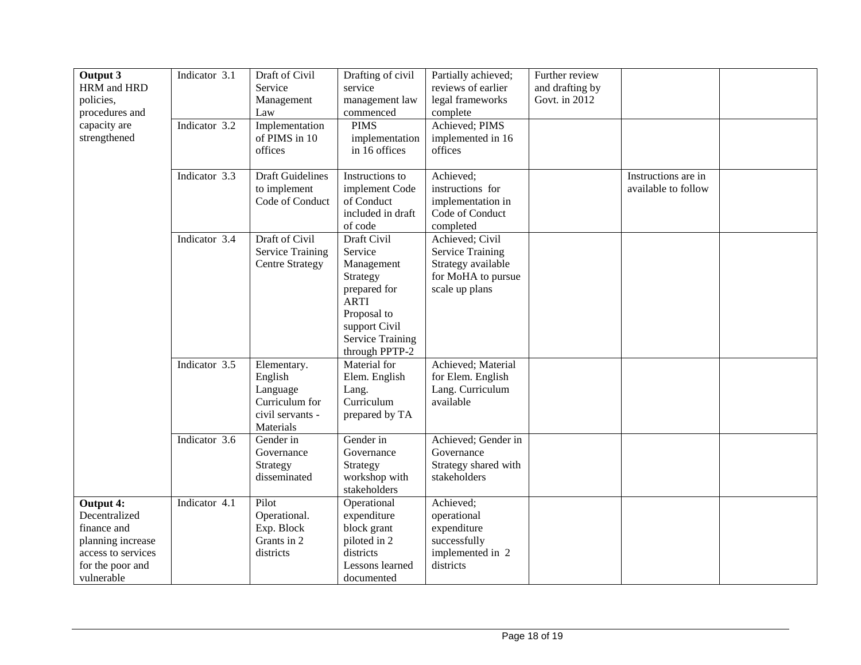| Output 3           | Indicator 3.1 | Draft of Civil          | Drafting of civil       | Partially achieved;     | Further review  |                     |  |
|--------------------|---------------|-------------------------|-------------------------|-------------------------|-----------------|---------------------|--|
| HRM and HRD        |               | Service                 | service                 | reviews of earlier      | and drafting by |                     |  |
| policies,          |               | Management              | management law          | legal frameworks        | Govt. in 2012   |                     |  |
| procedures and     |               | Law                     | commenced               | complete                |                 |                     |  |
| capacity are       | Indicator 3.2 | Implementation          | <b>PIMS</b>             | Achieved; PIMS          |                 |                     |  |
| strengthened       |               | of PIMS in 10           | implementation          | implemented in 16       |                 |                     |  |
|                    |               | offices                 | in 16 offices           | offices                 |                 |                     |  |
|                    |               |                         |                         |                         |                 |                     |  |
|                    | Indicator 3.3 | <b>Draft Guidelines</b> | Instructions to         | Achieved;               |                 | Instructions are in |  |
|                    |               | to implement            | implement Code          | instructions for        |                 | available to follow |  |
|                    |               | Code of Conduct         | of Conduct              | implementation in       |                 |                     |  |
|                    |               |                         | included in draft       | Code of Conduct         |                 |                     |  |
|                    |               |                         | of code                 | completed               |                 |                     |  |
|                    | Indicator 3.4 | Draft of Civil          | Draft Civil             | Achieved; Civil         |                 |                     |  |
|                    |               | <b>Service Training</b> | Service                 | <b>Service Training</b> |                 |                     |  |
|                    |               | <b>Centre Strategy</b>  | Management              | Strategy available      |                 |                     |  |
|                    |               |                         | Strategy                | for MoHA to pursue      |                 |                     |  |
|                    |               |                         | prepared for            | scale up plans          |                 |                     |  |
|                    |               |                         | <b>ARTI</b>             |                         |                 |                     |  |
|                    |               |                         | Proposal to             |                         |                 |                     |  |
|                    |               |                         | support Civil           |                         |                 |                     |  |
|                    |               |                         | <b>Service Training</b> |                         |                 |                     |  |
|                    |               |                         | through PPTP-2          |                         |                 |                     |  |
|                    | Indicator 3.5 | Elementary.             | Material for            | Achieved; Material      |                 |                     |  |
|                    |               | English                 | Elem. English           | for Elem. English       |                 |                     |  |
|                    |               | Language                | Lang.                   | Lang. Curriculum        |                 |                     |  |
|                    |               | Curriculum for          | Curriculum              | available               |                 |                     |  |
|                    |               | civil servants -        | prepared by TA          |                         |                 |                     |  |
|                    |               | Materials               |                         |                         |                 |                     |  |
|                    | Indicator 3.6 | Gender in               | Gender in               | Achieved; Gender in     |                 |                     |  |
|                    |               | Governance              | Governance              | Governance              |                 |                     |  |
|                    |               | Strategy                | Strategy                | Strategy shared with    |                 |                     |  |
|                    |               | disseminated            | workshop with           | stakeholders            |                 |                     |  |
|                    |               |                         | stakeholders            |                         |                 |                     |  |
| Output 4:          | Indicator 4.1 | Pilot                   | Operational             | Achieved;               |                 |                     |  |
| Decentralized      |               | Operational.            | expenditure             | operational             |                 |                     |  |
| finance and        |               | Exp. Block              | block grant             | expenditure             |                 |                     |  |
| planning increase  |               | Grants in 2             | piloted in 2            | successfully            |                 |                     |  |
| access to services |               | districts               | districts               | implemented in 2        |                 |                     |  |
| for the poor and   |               |                         | Lessons learned         | districts               |                 |                     |  |
| vulnerable         |               |                         | documented              |                         |                 |                     |  |